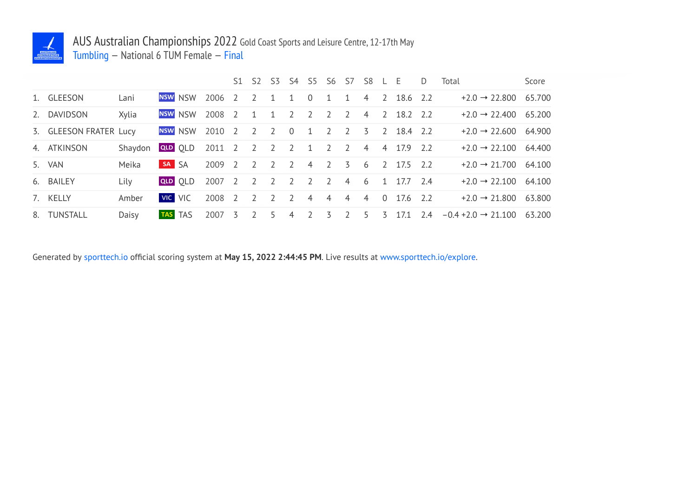

## AUS Australian Championships 2022 Gold Coast Sports and Leisure Centre, 12-17th May

Tumbling — National 6 TUM Female — Final

|    |                        |         |         |                |                | S1             |                          |                |                |                | S2 S3 S4 S5 S6 S7 S8 |                |                | $-L-E$   |            | D   | Total                            | Score  |
|----|------------------------|---------|---------|----------------|----------------|----------------|--------------------------|----------------|----------------|----------------|----------------------|----------------|----------------|----------|------------|-----|----------------------------------|--------|
|    | 1. GLEESON             | Lani    |         | <b>NSW NSW</b> | 2006           | $\overline{2}$ | $\mathcal{L}$            | $\mathbf{1}$   | $\mathbf{1}$   | $\Omega$       | 1                    | 1              | $\overline{4}$ |          | 2 18.6 2.2 |     | $+2.0 \rightarrow 22.800$        | 65.700 |
| 2. | <b>DAVIDSON</b>        | Xylia   |         | <b>NSW NSW</b> | 2008           | $\overline{z}$ | $\overline{1}$           | $\overline{1}$ | $\overline{z}$ | $\overline{2}$ | $\overline{2}$       | $\overline{z}$ | $\overline{4}$ |          | 2 18.2 2.2 |     | $+2.0 \rightarrow 22.400$ 65.200 |        |
|    | 3. GLEESON FRATER Lucy |         |         | NSW NSW        | 2010           | 2              | 2                        | 2              | $\overline{0}$ | 1              | $\overline{2}$       | $\overline{z}$ | 3              |          | 2 18.4 2.2 |     | $+2.0 \rightarrow 22.600$ 64.900 |        |
|    | 4. ATKINSON            | Shaydon |         | QLD OLD        | 2011 2 2 2 2 1 |                |                          |                |                |                | $\overline{2}$       | <sup>2</sup>   | $\overline{4}$ |          | 4 17.9 2.2 |     | $+2.0 \rightarrow 22.100$ 64.400 |        |
|    | 5. VAN                 | Meika   | SA SA   |                | 2009           | $\overline{2}$ | $\overline{z}$           | $\overline{2}$ | $\overline{z}$ | $\overline{4}$ | $\overline{2}$       | $\overline{5}$ | 6              |          | 2 17.5 2.2 |     | $+2.0 \rightarrow 21.700$ 64.100 |        |
|    | 6. BAILEY              | Lily    |         | QLD OLD        | 2007           | 2              | $\overline{2}$           | $\overline{2}$ | 2              | 2              | 2                    | $\overline{4}$ | 6              |          | 1 17.7 2.4 |     | $+2.0 \rightarrow 22.100$        | 64.100 |
|    | 7. KELLY               | Amber   | VIC VIC |                | 2008           | $\overline{z}$ | $\overline{\phantom{a}}$ | $\overline{z}$ | $\overline{z}$ | $\overline{4}$ | $\overline{4}$       | $\overline{4}$ | $\overline{4}$ | $\Omega$ | 17.6 2.2   |     | $+2.0 \rightarrow 21.800$        | 63.800 |
|    | 8. TUNSTALL            | Daisy   |         | TAS TAS        | 2007           | 3              |                          | -5             | 4              | $\overline{2}$ | 3                    |                | 5.             | 3        | 17.1       | 2.4 | $-0.4 + 2.0 \rightarrow 21.100$  | 63.200 |

Generated by sporttech.io official scoring system at **May 15, 2022 2:44:45 PM**. Live results at www.sporttech.io/explore.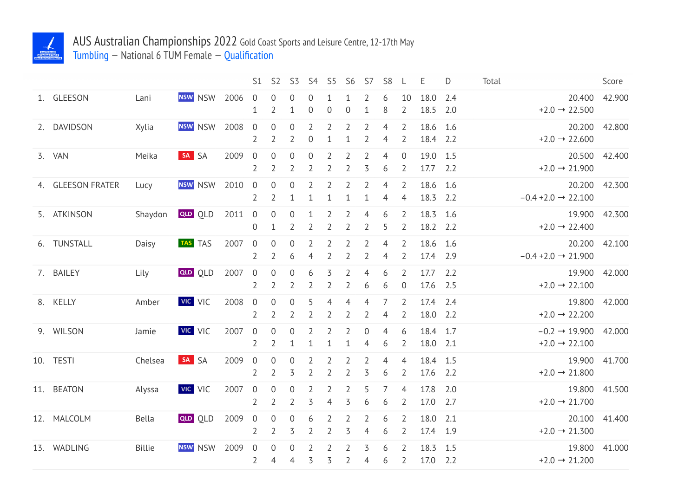

## AUS Australian Championships 2022 Gold Coast Sports and Leisure Centre, 12-17th May

Tumbling — National 6 TUM Female — Qualification

|                   |               |                |      | S1                                 | S <sub>2</sub>                     | S <sub>3</sub>                |                                  | S4 S5                            | <b>S6</b>                        | S7                               | S <sub>8</sub>                   | L                                | Ε                    | D          | Total |                                                               | Score         |
|-------------------|---------------|----------------|------|------------------------------------|------------------------------------|-------------------------------|----------------------------------|----------------------------------|----------------------------------|----------------------------------|----------------------------------|----------------------------------|----------------------|------------|-------|---------------------------------------------------------------|---------------|
| 1. GLEESON        | Lani          | NSW NSW        | 2006 | $\overline{0}$<br>1                | 0<br>$\overline{2}$                | $\boldsymbol{0}$<br>1         | 0<br>$\boldsymbol{0}$            | $\mathbf 1$<br>$\mathbf 0$       | 1<br>$\boldsymbol{0}$            | 2<br>$\mathbf{1}$                | 6<br>8                           | 10<br>$\overline{2}$             | 18.0<br>18.5         | 2.4<br>2.0 |       | 20.400<br>$+2.0 \rightarrow 22.500$                           | 42.900        |
| 2. DAVIDSON       | Xylia         | NSW NSW        | 2008 | $\mathbf 0$<br>2                   | $\boldsymbol{0}$<br>$\overline{2}$ | $\mathbf 0$<br>2              | $\overline{2}$<br>$\overline{0}$ | $\overline{2}$<br>$\mathbf{1}$   | $\overline{2}$<br>1              | 2<br>$\overline{2}$              | $\overline{4}$<br>$\overline{4}$ | $\overline{2}$<br>2              | 18.6<br>18.4 2.2     | 1.6        |       | $+2.0 \rightarrow 22.600$                                     | 20.200 42.800 |
| 3. VAN            | Meika         | SA SA          | 2009 | $\mathbf 0$<br>2                   | $\boldsymbol{0}$<br>$\overline{2}$ | $\boldsymbol{0}$<br>2         | $\boldsymbol{0}$<br>2            | $\overline{2}$<br>2              | $\overline{2}$<br>2              | $\overline{2}$<br>3              | $\overline{4}$<br>6              | $\mathbf 0$<br>2                 | 19.0<br>17.7         | 1.5<br>2.2 |       | 20.500 42.400<br>$+2.0 \rightarrow 21.900$                    |               |
| 4. GLEESON FRATER | Lucy          | <b>NSW</b> NSW | 2010 | $\mathbf 0$<br>$\overline{2}$      | $\boldsymbol{0}$<br>$\overline{2}$ | $\boldsymbol{0}$<br>1         | $\overline{2}$<br>1              | $\overline{2}$<br>$\mathbf 1$    | $\overline{2}$<br>1              | $\overline{2}$<br>$\mathbf{1}$   | $\overline{4}$<br>$\overline{4}$ | $\overline{2}$<br>$\overline{4}$ | 18.6 1.6<br>18.3     | 2.2        |       | $-0.4 + 2.0 \rightarrow 22.100$                               | 20.200 42.300 |
| 5. ATKINSON       | Shaydon       | <b>QLD</b> OLD | 2011 | $\overline{0}$<br>$\mathbf 0$      | $\boldsymbol{0}$<br>$\mathbf{1}$   | $\theta$<br>$\overline{2}$    | $\mathbf{1}$<br>$\overline{2}$   | $\overline{2}$<br>$\overline{2}$ | $\overline{2}$<br>$\overline{2}$ | $\overline{4}$<br>$\overline{2}$ | 6<br>5                           | $\overline{2}$<br>$\overline{2}$ | 18.3 1.6<br>18.2 2.2 |            |       | 19.900<br>$+2.0 \rightarrow 22.400$                           | 42.300        |
| 6. TUNSTALL       | Daisy         | TAS TAS        | 2007 | $\overline{0}$<br>$\overline{2}$   | $\boldsymbol{0}$<br>$\overline{2}$ | $\mathbf 0$<br>6              | 2<br>4                           | $\overline{2}$<br>$\overline{2}$ | $\overline{2}$<br>2              | $\overline{2}$<br>$\overline{2}$ | 4<br>4                           | $\overline{2}$<br>$\overline{2}$ | 18.6<br>17.4         | 1.6<br>2.9 |       | 20.200<br>$-0.4 + 2.0 \rightarrow 21.900$                     | 42.100        |
| 7. BAILEY         | Lily          | <b>QLD QLD</b> | 2007 | $\mathbf 0$<br>$\overline{2}$      | $\boldsymbol{0}$<br>$\overline{2}$ | $\boldsymbol{0}$<br>2         | 6<br>$\overline{2}$              | 3<br>$\overline{2}$              | $\overline{2}$<br>$\overline{2}$ | 4<br>6                           | 6<br>6                           | $\overline{2}$<br>$\overline{0}$ | 17.7<br>17.6 2.5     | 2.2        |       | 19.900 42.000<br>$+2.0 \rightarrow 22.100$                    |               |
| 8. KELLY          | Amber         | VIC VIC        | 2008 | $\mathbf 0$<br>2                   | $\boldsymbol{0}$<br>$\overline{2}$ | $\boldsymbol{0}$<br>2         | 5<br>2                           | 4<br>2                           | 4<br>2                           | 4<br>2                           | 7<br>4                           | $\overline{2}$<br>2              | 17.4<br>18.0 2.2     | 2.4        |       | $+2.0 \rightarrow 22.200$                                     | 19.800 42.000 |
| 9. WILSON         | Jamie         | VIC VIC        | 2007 | $\overline{0}$<br>$\overline{2}$   | $\overline{0}$<br>$\overline{2}$   | $\mathbf 0$<br>1              | 1                                | 2<br>$\mathbf 1$                 | 2<br>1                           | 0<br>4                           | $\overline{4}$<br>6              | 6<br>2                           | 18.4 1.7<br>18.0 2.1 |            |       | $-0.2 \rightarrow 19.900$ 42.000<br>$+2.0 \rightarrow 22.100$ |               |
| 10. TESTI         | Chelsea       | SA SA          | 2009 | $\boldsymbol{0}$<br>$\overline{2}$ | $\boldsymbol{0}$<br>$\overline{2}$ | $\boldsymbol{0}$<br>3         | $\overline{2}$<br>$\overline{2}$ | $\overline{2}$<br>$\overline{2}$ | $\overline{2}$<br>2              | $\overline{2}$<br>3              | $\overline{4}$<br>6              | $\overline{4}$<br>2              | 18.4 1.5<br>17.6     | 2.2        |       | 19.900<br>$+2.0 \rightarrow 21.800$                           | 41.700        |
| 11. BEATON        | Alyssa        | VIC VIC        | 2007 | $\mathbf 0$<br>$\overline{2}$      | $\boldsymbol{0}$<br>$\overline{2}$ | $\mathbf 0$<br>$\overline{2}$ | $\overline{2}$<br>3              | $\overline{2}$<br>$\overline{4}$ | $\overline{2}$<br>3              | 5<br>6                           | 7<br>6                           | $\overline{4}$<br>$\overline{2}$ | 17.8<br>17.0         | 2.0<br>2.7 |       | 19.800<br>$+2.0 \rightarrow 21.700$                           | 41.500        |
| 12. MALCOLM       | Bella         | <b>QLD</b> OLD | 2009 | $\mathbf 0$<br>$\overline{2}$      | $\boldsymbol{0}$<br>$\overline{2}$ | $\mathbf 0$<br>3              | 6<br>$\overline{2}$              | $\overline{2}$<br>$\overline{2}$ | $\overline{2}$<br>3              | $\overline{2}$<br>4              | 6<br>6                           | $\overline{2}$<br>$\overline{2}$ | 18.0<br>17.4 1.9     | 2.1        |       | 20.100<br>$+2.0 \rightarrow 21.300$                           | 41.400        |
| 13. WADLING       | <b>Billie</b> | NSW NSW        | 2009 | $\overline{0}$<br>$\overline{2}$   | $\boldsymbol{0}$<br>$\overline{4}$ | $\mathbf 0$<br>4              | 2<br>3                           | $\overline{2}$<br>3              | $\overline{2}$<br>2              | 3<br>4                           | 6<br>6                           | 2<br>$\overline{2}$              | 18.3 1.5<br>17.0     | 2.2        |       | 19.800<br>$+2.0 \rightarrow 21.200$                           | 41.000        |